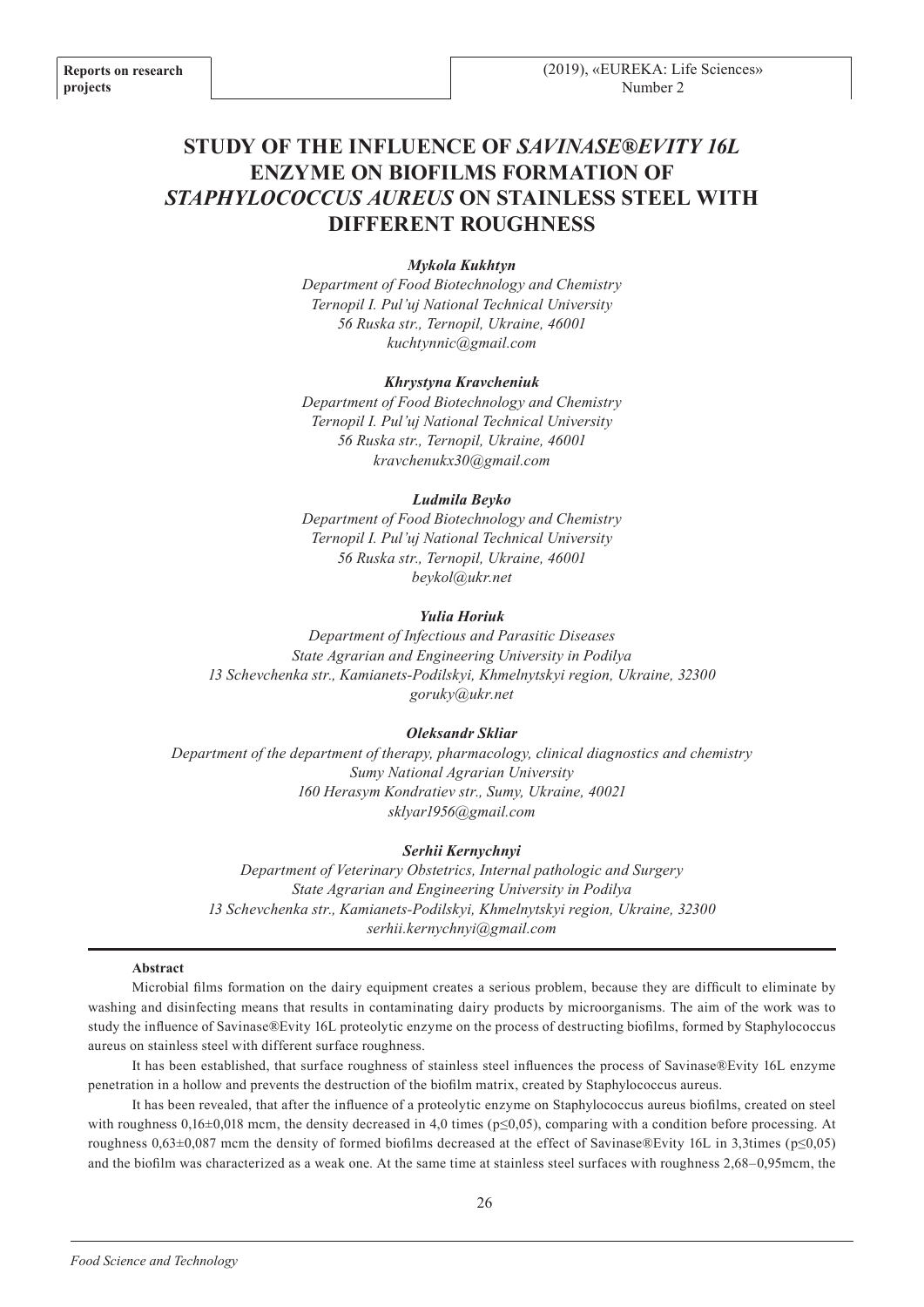# **STUDY OF THE INFLUENCE OF** *SAVINASE®EVITY 16L* **ENZYME ON BIOFILMS FORMATION OF**  *STAPHYLOCOCCUS AUREUS* **ON STAINLESS STEEL WITH DIFFERENT ROUGHNESS**

## *Mykola Kukhtyn*

*Department of Food Biotechnology and Chemistry Ternopil I. Pul'uj National Technical University 56 Ruska str., Ternopil, Ukraine, 46001 kuchtynnic@gmail.com*

#### *Khrystyna Kravcheniuk*

*Department of Food Biotechnology and Chemistry Ternopil I. Pul'uj National Technical University 56 Ruska str., Ternopil, Ukraine, 46001 kravchenukx30@gmail.com*

#### *Ludmila Beyko*

*Department of Food Biotechnology and Chemistry Ternopil I. Pul'uj National Technical University 56 Ruska str., Ternopil, Ukraine, 46001 beykol@ukr.net*

#### *Yulia Horiuk*

*Department of Infectious and Parasitic Diseases State Agrarian and Engineering University in Podilya 13 Schevchenka str., Kamianets-Podilskyi, Khmelnytskyi region, Ukraine, 32300 goruky@ukr.net*

#### *Oleksandr Skliar*

*Department of the department of therapy, pharmacology, clinical diagnostics and chemistry Sumy National Agrarian University 160 Herasym Kondratiev str., Sumy, Ukraine, 40021 sklyar1956@gmail.com*

#### *Serhii Kernychnyi*

*Department of Veterinary Obstetrics, Internal pathologic and Surgery State Agrarian and Engineering University in Podilya 13 Schevchenka str., Kamianets-Podilskyi, Khmelnytskyi region, Ukraine, 32300 serhii.kernychnyi@gmail.com*

#### **Abstract**

Microbial films formation on the dairy equipment creates a serious problem, because they are difficult to eliminate by washing and disinfecting means that results in contaminating dairy products by microorganisms. The aim of the work was to study the influence of Savinase®Evity 16L proteolytic enzyme on the process of destructing biofilms, formed by Staphylococcus aureus on stainless steel with different surface roughness.

It has been established, that surface roughness of stainless steel influences the process of Savinase®Evity 16L enzyme penetration in a hollow and prevents the destruction of the biofilm matrix, created by Staphylococcus aureus.

It has been revealed, that after the influence of a proteolytic enzyme on Staphylococcus aureus biofilms, created on steel with roughness  $0,16\pm0,018$  mcm, the density decreased in 4,0 times ( $p\leq0,05$ ), comparing with a condition before processing. At roughness  $0.63\pm0.087$  mcm the density of formed biofilms decreased at the effect of Savinase®Evity 16L in 3,3times ( $p \le 0.05$ ) and the biofilm was characterized as a weak one. At the same time at stainless steel surfaces with roughness 2,68–0,95mcm, the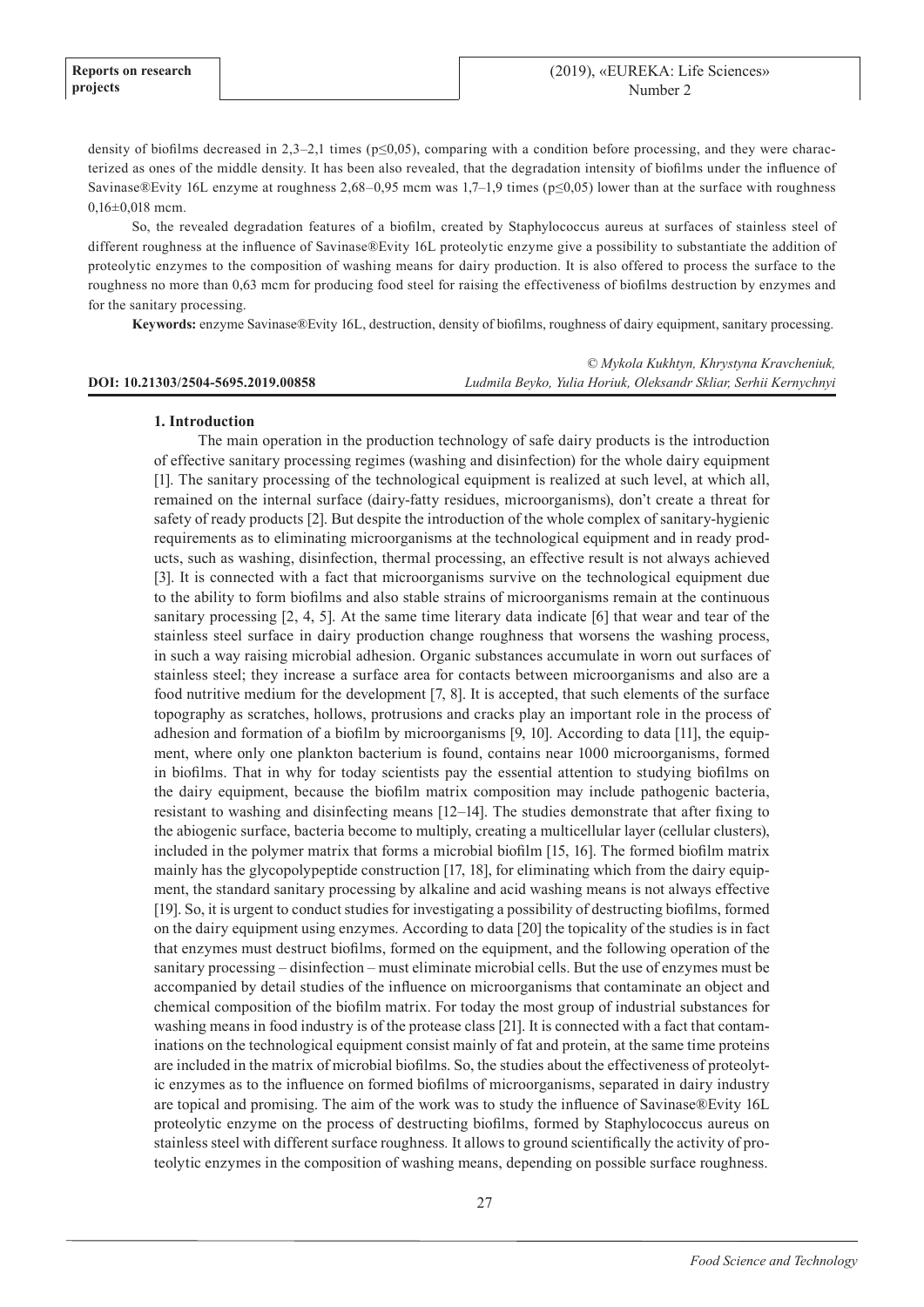density of biofilms decreased in 2,3–2,1 times ( $p \le 0.05$ ), comparing with a condition before processing, and they were characterized as ones of the middle density. It has been also revealed, that the degradation intensity of biofilms under the influence of Savinase®Evity 16L enzyme at roughness 2,68–0,95 mcm was 1,7–1,9 times ( $p \le 0.05$ ) lower than at the surface with roughness  $0,16\pm0,018$  mcm.

So, the revealed degradation features of a biofilm, created by Staphylococcus aureus at surfaces of stainless steel of different roughness at the influence of Savinase®Evity 16L proteolytic enzyme give a possibility to substantiate the addition of proteolytic enzymes to the composition of washing means for dairy production. It is also offered to process the surface to the roughness no more than 0,63 mcm for producing food steel for raising the effectiveness of biofilms destruction by enzymes and for the sanitary processing.

**Keywords:** enzyme Savinase®Evity 16L, destruction, density of biofilms, roughness of dairy equipment, sanitary processing.

|                                    | © Mykola Kukhtyn, Khrystyna Kravcheniuk,                         |
|------------------------------------|------------------------------------------------------------------|
| DOI: 10.21303/2504-5695.2019.00858 | Ludmila Beyko, Yulia Horiuk, Oleksandr Skliar, Serhii Kernychnyi |

#### **1. Introduction**

The main operation in the production technology of safe dairy products is the introduction of effective sanitary processing regimes (washing and disinfection) for the whole dairy equipment [1]. The sanitary processing of the technological equipment is realized at such level, at which all, remained on the internal surface (dairy-fatty residues, microorganisms), don't create a threat for safety of ready products [2]. But despite the introduction of the whole complex of sanitary-hygienic requirements as to eliminating microorganisms at the technological equipment and in ready products, such as washing, disinfection, thermal processing, an effective result is not always achieved [3]. It is connected with a fact that microorganisms survive on the technological equipment due to the ability to form biofilms and also stable strains of microorganisms remain at the continuous sanitary processing  $[2, 4, 5]$ . At the same time literary data indicate  $[6]$  that wear and tear of the stainless steel surface in dairy production change roughness that worsens the washing process, in such a way raising microbial adhesion. Organic substances accumulate in worn out surfaces of stainless steel; they increase a surface area for contacts between microorganisms and also are a food nutritive medium for the development [7, 8]. It is accepted, that such elements of the surface topography as scratches, hollows, protrusions and cracks play an important role in the process of adhesion and formation of a biofilm by microorganisms [9, 10]. According to data [11], the equipment, where only one plankton bacterium is found, contains near 1000 microorganisms, formed in biofilms. That in why for today scientists pay the essential attention to studying biofilms on the dairy equipment, because the biofilm matrix composition may include pathogenic bacteria, resistant to washing and disinfecting means [12–14]. The studies demonstrate that after fixing to the abiogenic surface, bacteria become to multiply, creating a multicellular layer (cellular clusters), included in the polymer matrix that forms a microbial biofilm [15, 16]. The formed biofilm matrix mainly has the glycopolypeptide construction [17, 18], for eliminating which from the dairy equipment, the standard sanitary processing by alkaline and acid washing means is not always effective [19]. So, it is urgent to conduct studies for investigating a possibility of destructing biofilms, formed on the dairy equipment using enzymes. According to data [20] the topicality of the studies is in fact that enzymes must destruct biofilms, formed on the equipment, and the following operation of the sanitary processing – disinfection – must eliminate microbial cells. But the use of enzymes must be accompanied by detail studies of the influence on microorganisms that contaminate an object and chemical composition of the biofilm matrix. For today the most group of industrial substances for washing means in food industry is of the protease class [21]. It is connected with a fact that contaminations on the technological equipment consist mainly of fat and protein, at the same time proteins are included in the matrix of microbial biofilms. So, the studies about the effectiveness of proteolytic enzymes as to the influence on formed biofilms of microorganisms, separated in dairy industry are topical and promising. The aim of the work was to study the influence of Savinase®Evity 16L proteolytic enzyme on the process of destructing biofilms, formed by Staphylococcus aureus on stainless steel with different surface roughness*.* It allows to ground scientifically the activity of proteolytic enzymes in the composition of washing means, depending on possible surface roughness.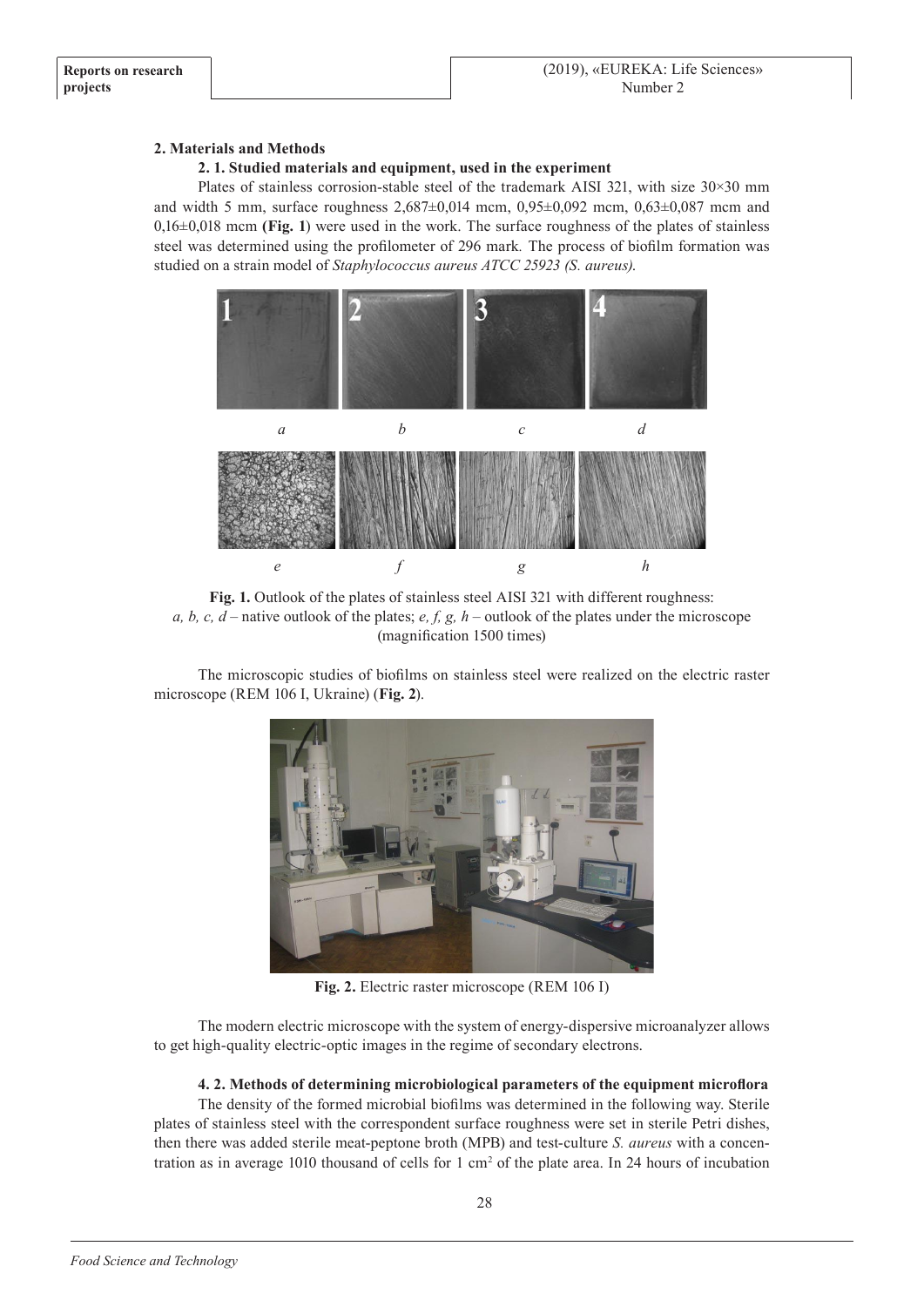# **2. Materials and Methods**

# **2. 1. Studied materials and equipment, used in the experiment**

Plates of stainless corrosion-stable steel of the trademark AISI 321, with size 30×30 mm and width 5 mm, surface roughness  $2,687\pm0,014$  mcm,  $0,95\pm0,092$  mcm,  $0,63\pm0,087$  mcm and 0,16±0,018 mcm **(Fig. 1**) were used in the work. The surface roughness of the plates of stainless steel was determined using the profilometer of 296 mark*.* The process of biofilm formation was studied on a strain model of *Staphylococcus aureus ATCC 25923 (S. aureus)*.



**Fig. 1.** Outlook of the plates of stainless steel AISI 321 with different roughness: *a, b, c, d* – native outlook of the plates; *e, f, g, h* – outlook of the plates under the microscope (magnification 1500 times)

The microscopic studies of biofilms on stainless steel were realized on the electric raster microscope (REM 106 I, Ukraine) (**Fig. 2**).



**Fig. 2.** Electric raster microscope (REM 106 I)

The modern electric microscope with the system of energy-dispersive microanalyzer allows to get high-quality electric-optic images in the regime of secondary electrons.

# **4. 2. Methods of determining microbiological parameters of the equipment microflora**

The density of the formed microbial biofilms was determined in the following way. Sterile plates of stainless steel with the correspondent surface roughness were set in sterile Petri dishes, then there was added sterile meat-peptone broth (MPB) and test-culture *S. aureus* with a concentration as in average 1010 thousand of cells for  $1 \text{ cm}^2$  of the plate area. In 24 hours of incubation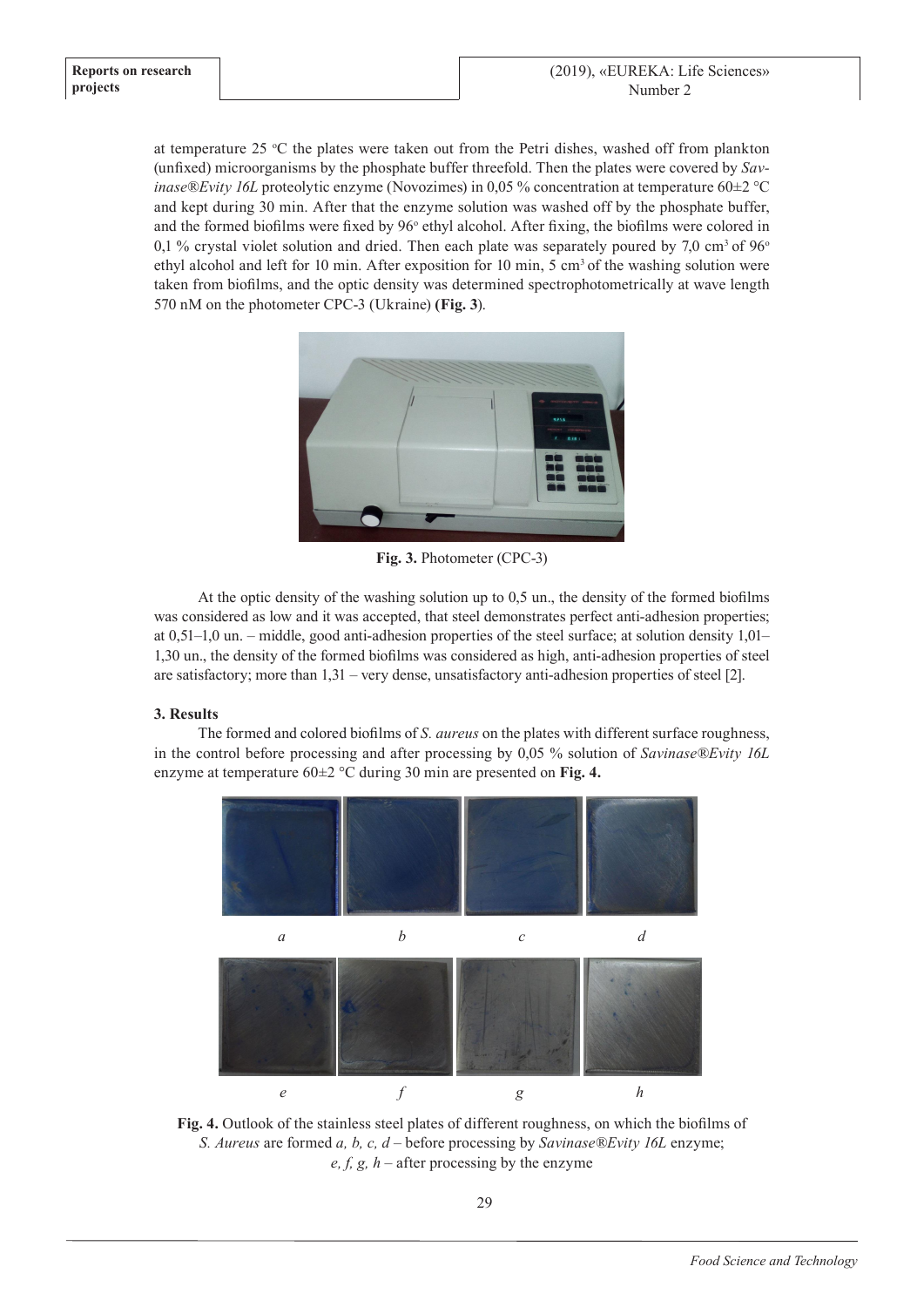at temperature 25  $\degree$ C the plates were taken out from the Petri dishes, washed off from plankton (unfixed) microorganisms by the phosphate buffer threefold. Then the plates were covered by *Savinase®Evity 16L* proteolytic enzyme (Novozimes) in 0,05 % concentration at temperature 60±2 °С and kept during 30 min. After that the enzyme solution was washed off by the phosphate buffer, and the formed biofilms were fixed by 96° ethyl alcohol. After fixing, the biofilms were colored in 0,1 % crystal violet solution and dried. Then each plate was separately poured by 7,0 cm<sup>3</sup> of  $96^{\circ}$ ethyl alcohol and left for 10 min. After exposition for 10 min, 5 cm<sup>3</sup> of the washing solution were taken from biofilms, and the optic density was determined spectrophotometrically at wave length 570 nM on the photometer CPC-3 (Ukraine) **(Fig. 3**).



**Fig. 3.** Photometer (CPC-3)

At the optic density of the washing solution up to 0,5 un., the density of the formed biofilms was considered as low and it was accepted, that steel demonstrates perfect anti-adhesion properties; at 0,51–1,0 un. – middle, good anti-adhesion properties of the steel surface; at solution density 1,01– 1,30 un., the density of the formed biofilms was considered as high, anti-adhesion properties of steel are satisfactory; more than 1,31 – very dense, unsatisfactory anti-adhesion properties of steel [2].

# **3. Results**

The formed and colored biofilms of *S. aureus* on the plates with different surface roughness, in the control before processing and after processing by 0,05 % solution of *Savinase®Evity 16L* enzyme at temperature 60±2 °С during 30 min are presented on **Fig. 4.**



**Fig. 4.** Outlook of the stainless steel plates of different roughness, on which the biofilms of *S. Aureus* are formed *a, b, c, d* – before processing by *Savinase®Evity 16L* enzyme; *e, f, g, h* – after processing by the enzyme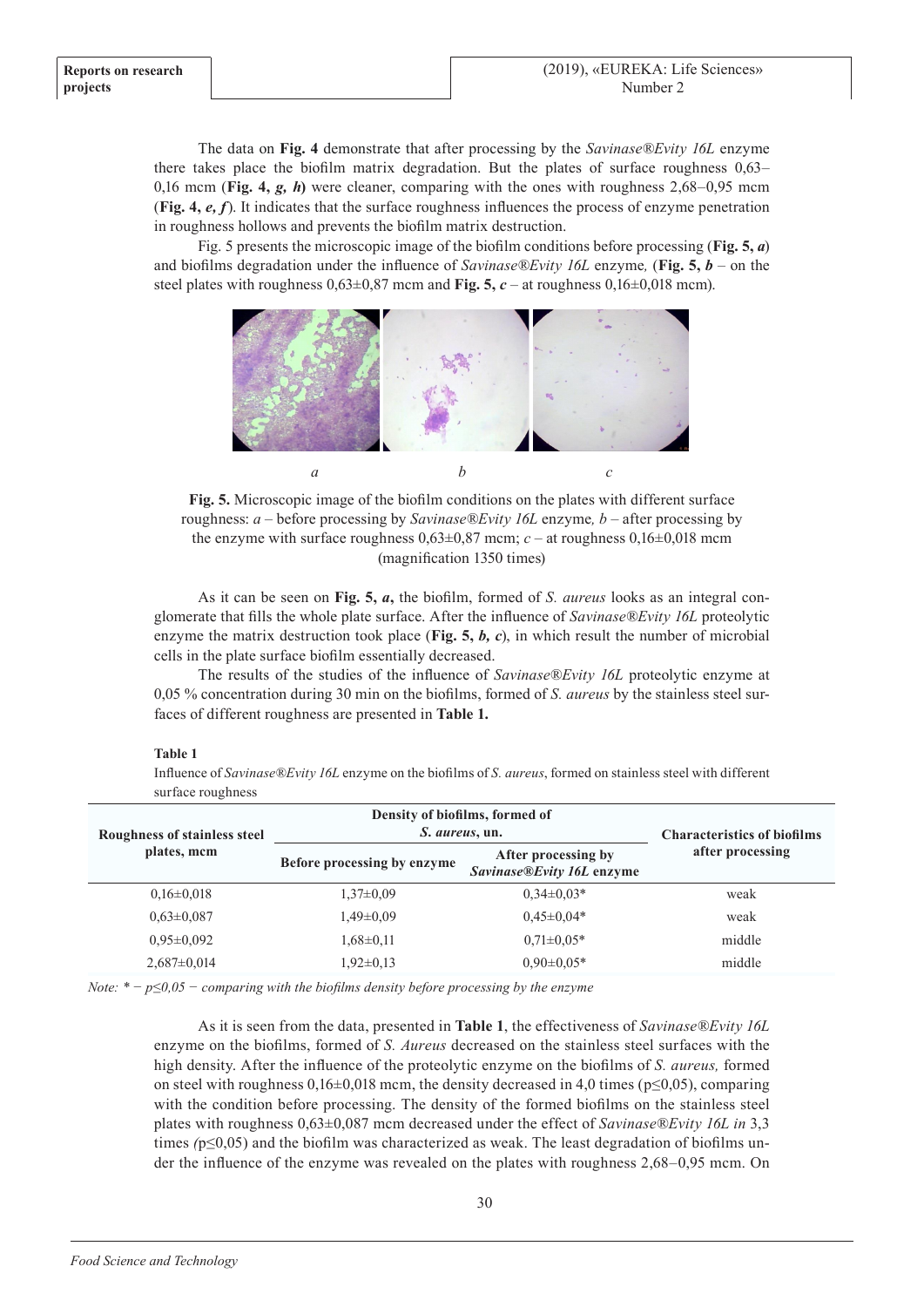The data on **Fig. 4** demonstrate that after processing by the *Savinase®Evity 16L* enzyme there takes place the biofilm matrix degradation. But the plates of surface roughness 0,63– 0,16 mcm (Fig. 4,  $g$ ,  $h$ ) were cleaner, comparing with the ones with roughness 2,68–0,95 mcm (**Fig. 4,** *e, f*). It indicates that the surface roughness influences the process of enzyme penetration in roughness hollows and prevents the biofilm matrix destruction.

Fig. 5 presents the microscopic image of the biofilm conditions before processing (**Fig. 5,** *а*) and biofilms degradation under the influence of *Savinase®Evity 16L* enzyme*,* (**Fig. 5,** *b* – on the steel plates with roughness  $0.63\pm0.87$  mcm and **Fig. 5,** *c* – at roughness  $0.16\pm0.018$  mcm).



**Fig. 5.** Microscopic image of the biofilm conditions on the plates with different surface roughness: *a* – before processing by *Savinase®Evity 16L* enzyme*, b* – after processing by the enzyme with surface roughness  $0.63\pm0.87$  mcm;  $c -$  at roughness  $0.16\pm0.018$  mcm (magnification 1350 times)

As it can be seen on **Fig. 5,** *а***,** the biofilm, formed of *S. aureus* looks as an integral conglomerate that fills the whole plate surface. After the influence of *Savinase®Evity 16L* proteolytic enzyme the matrix destruction took place (**Fig. 5,** *b, c*), in which result the number of microbial cells in the plate surface biofilm essentially decreased.

The results of the studies of the influence of *Savinase®Evity 16L* proteolytic enzyme at 0,05 % concentration during 30 min on the biofilms, formed of *S. aureus* by the stainless steel surfaces of different roughness are presented in **Table 1.**

## **Table 1**

Influence of *Savinase®Evity 16L* enzyme on the biofilms of *S. aureus*, formed on stainless steel with different surface roughness

| Roughness of stainless steel | Density of biofilms, formed of<br><i>S. aureus</i> , un. |                                                  | <b>Characteristics of biofilms</b> |
|------------------------------|----------------------------------------------------------|--------------------------------------------------|------------------------------------|
| plates, mcm                  | Before processing by enzyme                              | After processing by<br>Savinase®Evity 16L enzyme | after processing                   |
| $0.16 \pm 0.018$             | $1,37\pm0.09$                                            | $0.34 \pm 0.03*$                                 | weak                               |
| $0.63 \pm 0.087$             | $1,49\pm0.09$                                            | $0.45 \pm 0.04*$                                 | weak                               |
| $0.95 \pm 0.092$             | $1,68 \pm 0,11$                                          | $0.71 \pm 0.05*$                                 | middle                             |
| $2,687\pm0,014$              | $1,92\pm0,13$                                            | $0.90 \pm 0.05*$                                 | middle                             |

*Note: \* − р≤0,05 − comparing with the biofilms density before processing by the enzyme* 

As it is seen from the data, presented in **Table 1**, the effectiveness of *Savinase®Evity 16L*  enzyme on the biofilms, formed of *S. Aureus* decreased on the stainless steel surfaces with the high density. After the influence of the proteolytic enzyme on the biofilms of *S. aureus,* formed on steel with roughness  $0,16\pm0,018$  mcm, the density decreased in 4,0 times ( $p\leq0,05$ ), comparing with the condition before processing. The density of the formed biofilms on the stainless steel plates with roughness 0,63±0,087 mcm decreased under the effect of *Savinase®Evity 16L in* 3,3 times *(*р≤0,05) and the biofilm was characterized as weak. The least degradation of biofilms under the influence of the enzyme was revealed on the plates with roughness 2,68–0,95 mcm. On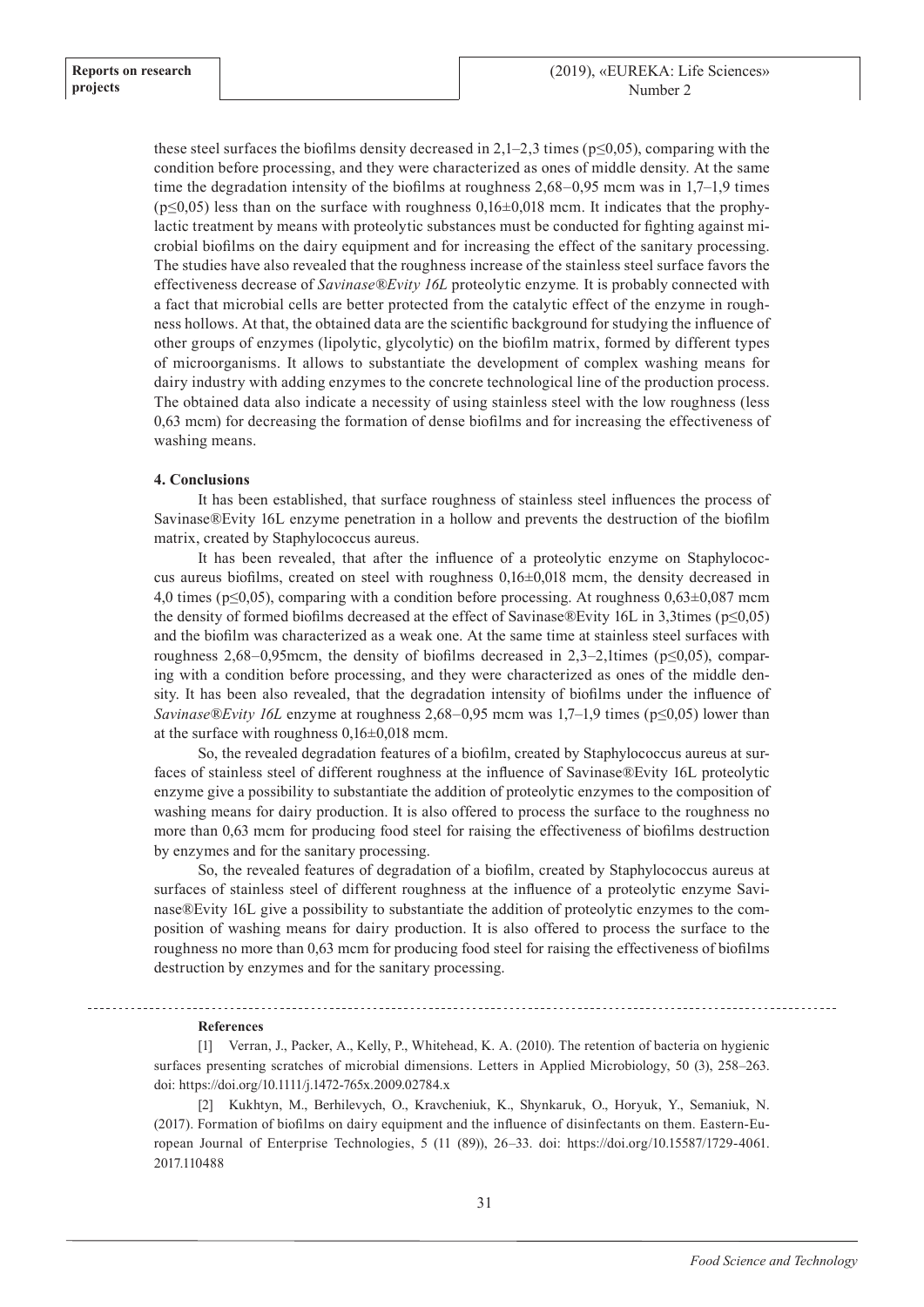these steel surfaces the biofilms density decreased in 2,1–2,3 times ( $p \le 0.05$ ), comparing with the condition before processing, and they were characterized as ones of middle density. At the same time the degradation intensity of the biofilms at roughness  $2,68-0,95$  mcm was in  $1,7-1,9$  times  $(p \le 0.05)$  less than on the surface with roughness  $0.16 \pm 0.018$  mcm. It indicates that the prophylactic treatment by means with proteolytic substances must be conducted for fighting against microbial biofilms on the dairy equipment and for increasing the effect of the sanitary processing. The studies have also revealed that the roughness increase of the stainless steel surface favors the effectiveness decrease of *Savinase®Evity 16L* proteolytic enzyme*.* It is probably connected with a fact that microbial cells are better protected from the catalytic effect of the enzyme in roughness hollows. At that, the obtained data are the scientific background for studying the influence of other groups of enzymes (lipolytic, glycolytic) on the biofilm matrix, formed by different types of microorganisms. It allows to substantiate the development of complex washing means for dairy industry with adding enzymes to the concrete technological line of the production process. The obtained data also indicate a necessity of using stainless steel with the low roughness (less 0,63 mcm) for decreasing the formation of dense biofilms and for increasing the effectiveness of washing means.

### **4. Conclusions**

It has been established, that surface roughness of stainless steel influences the process of Savinase®Evity 16L enzyme penetration in a hollow and prevents the destruction of the biofilm matrix, created by Staphylococcus aureus.

It has been revealed, that after the influence of a proteolytic enzyme on Staphylococcus aureus biofilms, created on steel with roughness  $0,16\pm0,018$  mcm, the density decreased in 4,0 times ( $p \le 0.05$ ), comparing with a condition before processing. At roughness 0,63±0,087 mcm the density of formed biofilms decreased at the effect of Savinase®Evity 16L in 3,3times ( $p \le 0.05$ ) and the biofilm was characterized as a weak one. At the same time at stainless steel surfaces with roughness 2,68–0,95mcm, the density of biofilms decreased in 2,3–2,1times ( $p \le 0.05$ ), comparing with a condition before processing, and they were characterized as ones of the middle density. It has been also revealed, that the degradation intensity of biofilms under the influence of *Savinase®Evity 16L* enzyme at roughness 2,68–0,95 mcm was 1,7–1,9 times (p≤0,05) lower than at the surface with roughness 0,16±0,018 mcm.

So, the revealed degradation features of a biofilm, created by Staphylococcus aureus at surfaces of stainless steel of different roughness at the influence of Savinase®Evity 16L proteolytic enzyme give a possibility to substantiate the addition of proteolytic enzymes to the composition of washing means for dairy production. It is also offered to process the surface to the roughness no more than 0,63 mcm for producing food steel for raising the effectiveness of biofilms destruction by enzymes and for the sanitary processing.

So, the revealed features of degradation of a biofilm, created by Staphylococcus aureus at surfaces of stainless steel of different roughness at the influence of a proteolytic enzyme Savinase®Evity 16L give a possibility to substantiate the addition of proteolytic enzymes to the composition of washing means for dairy production. It is also offered to process the surface to the roughness no more than 0,63 mcm for producing food steel for raising the effectiveness of biofilms destruction by enzymes and for the sanitary processing.

# **References**

[1] Verran, J., Packer, A., Kelly, P., Whitehead, K. A. (2010). The retention of bacteria on hygienic surfaces presenting scratches of microbial dimensions. Letters in Applied Microbiology, 50 (3), 258–263. doi: https://doi.org/10.1111/j.1472-765x.2009.02784.x

[2] Kukhtyn, M., Berhilevych, O., Kravcheniuk, K., Shynkaruk, O., Horyuk, Y., Semaniuk, N. (2017). Formation of biofilms on dairy equipment and the influence of disinfectants on them. Eastern-European Journal of Enterprise Technologies, 5 (11 (89)), 26–33. doi: https://doi.org/10.15587/1729-4061. 2017.110488